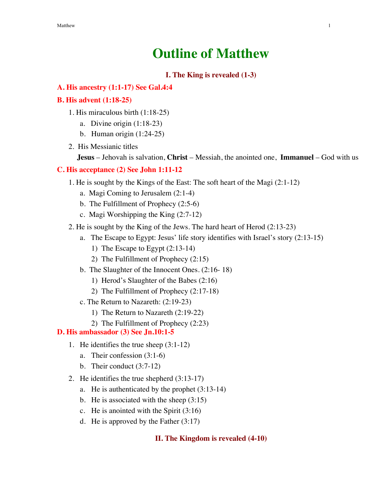# **Outline of Matthew**

## **I. The King is revealed (1-3)**

#### **A. His ancestry (1:1-17) See Gal.4:4**

#### **B. His advent (1:18-25)**

- 1. His miraculous birth (1:18-25)
	- a. Divine origin (1:18-23)
	- b. Human origin (1:24-25)
- 2. His Messianic titles

**Jesus** – Jehovah is salvation, **Christ** – Messiah, the anointed one, **Immanuel** – God with us

#### **C. His acceptance (2) See John 1:11-12**

- 1. He is sought by the Kings of the East: The soft heart of the Magi (2:1-12)
	- a. Magi Coming to Jerusalem (2:1-4)
	- b. The Fulfillment of Prophecy (2:5-6)
	- c. Magi Worshipping the King (2:7-12)
- 2. He is sought by the King of the Jews. The hard heart of Herod (2:13-23)
	- a. The Escape to Egypt: Jesus' life story identifies with Israel's story (2:13-15)
		- 1) The Escape to Egypt (2:13-14)
		- 2) The Fulfillment of Prophecy (2:15)
	- b. The Slaughter of the Innocent Ones. (2:16- 18)
		- 1) Herod's Slaughter of the Babes (2:16)
		- 2) The Fulfillment of Prophecy (2:17-18)
	- c. The Return to Nazareth: (2:19-23)
		- 1) The Return to Nazareth (2:19-22)
		- 2) The Fulfillment of Prophecy (2:23)

#### **D. His ambassador (3) See Jn.10:1-5**

- 1. He identifies the true sheep (3:1-12)
	- a. Their confession (3:1-6)
	- b. Their conduct (3:7-12)
- 2. He identifies the true shepherd (3:13-17)
	- a. He is authenticated by the prophet (3:13-14)
	- b. He is associated with the sheep (3:15)
	- c. He is anointed with the Spirit (3:16)
	- d. He is approved by the Father (3:17)

#### **II. The Kingdom is revealed (4-10)**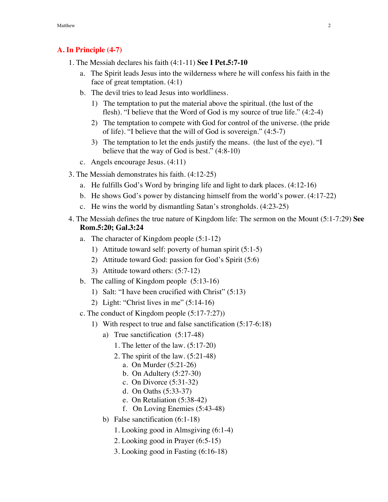# **A. In Principle (4-7)**

- 1. The Messiah declares his faith (4:1-11) **See I Pet.5:7-10**
	- a. The Spirit leads Jesus into the wilderness where he will confess his faith in the face of great temptation. (4:1)
	- b. The devil tries to lead Jesus into worldliness.
		- 1) The temptation to put the material above the spiritual. (the lust of the flesh). "I believe that the Word of God is my source of true life." (4:2-4)
		- 2) The temptation to compete with God for control of the universe. (the pride of life). "I believe that the will of God is sovereign." (4:5-7)
		- 3) The temptation to let the ends justify the means. (the lust of the eye). "I believe that the way of God is best." (4:8-10)
	- c. Angels encourage Jesus. (4:11)
- 3. The Messiah demonstrates his faith. (4:12-25)
	- a. He fulfills God's Word by bringing life and light to dark places. (4:12-16)
	- b. He shows God's power by distancing himself from the world's power. (4:17-22)
	- c. He wins the world by dismantling Satan's strongholds. (4:23-25)
- 4. The Messiah defines the true nature of Kingdom life: The sermon on the Mount (5:1-7:29) **See Rom.5:20; Gal.3:24**
	- a. The character of Kingdom people (5:1-12)
		- 1) Attitude toward self: poverty of human spirit (5:1-5)
		- 2) Attitude toward God: passion for God's Spirit (5:6)
		- 3) Attitude toward others: (5:7-12)
	- b. The calling of Kingdom people (5:13-16)
		- 1) Salt: "I have been crucified with Christ" (5:13)
		- 2) Light: "Christ lives in me" (5:14-16)
	- c. The conduct of Kingdom people (5:17-7:27))
		- 1) With respect to true and false sanctification (5:17-6:18)
			- a) True sanctification (5:17-48)
				- 1. The letter of the law. (5:17-20)
				- 2. The spirit of the law. (5:21-48)
					- a. On Murder (5:21-26)
					- b. On Adultery (5:27-30)
					- c. On Divorce (5:31-32)
					- d. On Oaths (5:33-37)
					- e. On Retaliation (5:38-42)
					- f. On Loving Enemies (5:43-48)
			- b) False sanctification (6:1-18)
				- 1. Looking good in Almsgiving (6:1-4)
				- 2. Looking good in Prayer (6:5-15)
				- 3. Looking good in Fasting (6:16-18)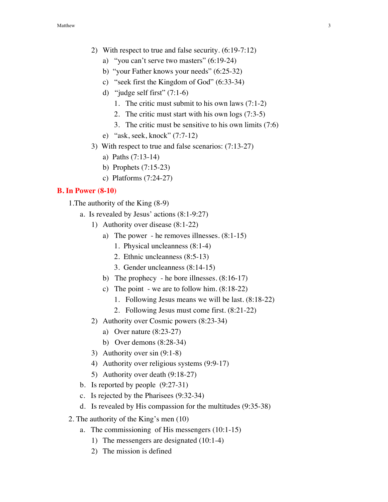- 2) With respect to true and false security. (6:19-7:12)
	- a) "you can't serve two masters" (6:19-24)
	- b) "your Father knows your needs" (6:25-32)
	- c) "seek first the Kingdom of God" (6:33-34)
	- d) "judge self first"  $(7:1-6)$ 
		- 1. The critic must submit to his own laws (7:1-2)
		- 2. The critic must start with his own logs (7:3-5)
		- 3. The critic must be sensitive to his own limits (7:6)
	- e) "ask, seek, knock" (7:7-12)
- 3) With respect to true and false scenarios: (7:13-27)
	- a) Paths (7:13-14)
	- b) Prophets (7:15-23)
	- c) Platforms (7:24-27)

#### **B. In Power (8-10)**

- 1.The authority of the King (8-9)
	- a. Is revealed by Jesus' actions (8:1-9:27)
		- 1) Authority over disease (8:1-22)
			- a) The power he removes illnesses. (8:1-15)
				- 1. Physical uncleanness (8:1-4)
				- 2. Ethnic uncleanness (8:5-13)
				- 3. Gender uncleanness (8:14-15)
			- b) The prophecy he bore illnesses. (8:16-17)
			- c) The point we are to follow him. (8:18-22)
				- 1. Following Jesus means we will be last. (8:18-22)
				- 2. Following Jesus must come first. (8:21-22)
		- 2) Authority over Cosmic powers (8:23-34)
			- a) Over nature (8:23-27)
			- b) Over demons (8:28-34)
		- 3) Authority over sin (9:1-8)
		- 4) Authority over religious systems (9:9-17)
		- 5) Authority over death (9:18-27)
	- b. Is reported by people (9:27-31)
	- c. Is rejected by the Pharisees (9:32-34)
	- d. Is revealed by His compassion for the multitudes (9:35-38)
- 2. The authority of the King's men (10)
	- a. The commissioning of His messengers (10:1-15)
		- 1) The messengers are designated (10:1-4)
		- 2) The mission is defined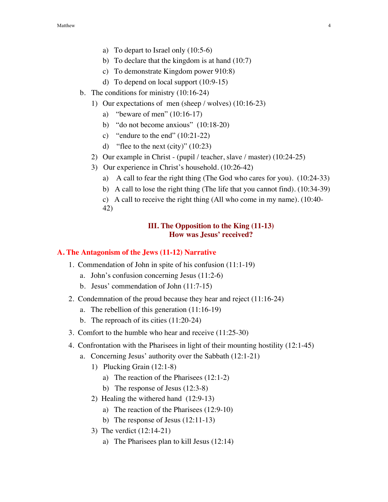- a) To depart to Israel only (10:5-6)
- b) To declare that the kingdom is at hand (10:7)
- c) To demonstrate Kingdom power 910:8)
- d) To depend on local support (10:9-15)
- b. The conditions for ministry (10:16-24)
	- 1) Our expectations of men (sheep / wolves) (10:16-23)
		- a) "beware of men" (10:16-17)
		- b) "do not become anxious" (10:18-20)
		- c) "endure to the end" (10:21-22)
		- d) "flee to the next (city)" (10:23)
	- 2) Our example in Christ (pupil / teacher, slave / master) (10:24-25)
	- 3) Our experience in Christ's household. (10:26-42)
		- a) A call to fear the right thing (The God who cares for you). (10:24-33)
		- b) A call to lose the right thing (The life that you cannot find). (10:34-39)
		- c) A call to receive the right thing (All who come in my name). (10:40- 42)

# **III. The Opposition to the King (11-13) How was Jesus' received?**

#### **A. The Antagonism of the Jews (11-12) Narrative**

- 1. Commendation of John in spite of his confusion (11:1-19)
	- a. John's confusion concerning Jesus (11:2-6)
	- b. Jesus' commendation of John (11:7-15)
- 2. Condemnation of the proud because they hear and reject (11:16-24)
	- a. The rebellion of this generation (11:16-19)
	- b. The reproach of its cities (11:20-24)
- 3. Comfort to the humble who hear and receive (11:25-30)
- 4. Confrontation with the Pharisees in light of their mounting hostility (12:1-45)
	- a. Concerning Jesus' authority over the Sabbath (12:1-21)
		- 1) Plucking Grain (12:1-8)
			- a) The reaction of the Pharisees (12:1-2)
			- b) The response of Jesus (12:3-8)
		- 2) Healing the withered hand (12:9-13)
			- a) The reaction of the Pharisees (12:9-10)
			- b) The response of Jesus (12:11-13)
		- 3) The verdict (12:14-21)
			- a) The Pharisees plan to kill Jesus (12:14)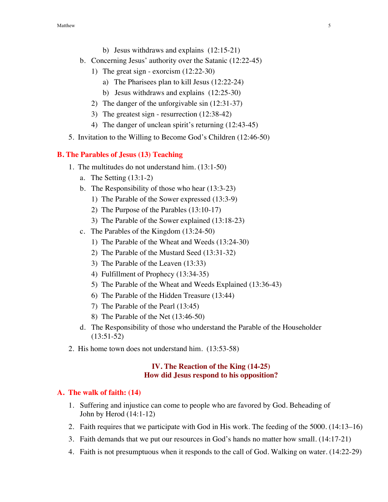- b) Jesus withdraws and explains (12:15-21)
- b. Concerning Jesus' authority over the Satanic (12:22-45)
	- 1) The great sign exorcism (12:22-30)
		- a) The Pharisees plan to kill Jesus (12:22-24)
		- b) Jesus withdraws and explains (12:25-30)
	- 2) The danger of the unforgivable sin (12:31-37)
	- 3) The greatest sign resurrection (12:38-42)
	- 4) The danger of unclean spirit's returning (12:43-45)
- 5. Invitation to the Willing to Become God's Children (12:46-50)

# **B. The Parables of Jesus (13) Teaching**

- 1. The multitudes do not understand him. (13:1-50)
	- a. The Setting (13:1-2)
	- b. The Responsibility of those who hear (13:3-23)
		- 1) The Parable of the Sower expressed (13:3-9)
		- 2) The Purpose of the Parables (13:10-17)
		- 3) The Parable of the Sower explained (13:18-23)
	- c. The Parables of the Kingdom (13:24-50)
		- 1) The Parable of the Wheat and Weeds (13:24-30)
		- 2) The Parable of the Mustard Seed (13:31-32)
		- 3) The Parable of the Leaven (13:33)
		- 4) Fulfillment of Prophecy (13:34-35)
		- 5) The Parable of the Wheat and Weeds Explained (13:36-43)
		- 6) The Parable of the Hidden Treasure (13:44)
		- 7) The Parable of the Pearl (13:45)
		- 8) The Parable of the Net (13:46-50)
	- d. The Responsibility of those who understand the Parable of the Householder (13:51-52)
- 2. His home town does not understand him. (13:53-58)

# **IV. The Reaction of the King (14-25) How did Jesus respond to his opposition?**

#### **A. The walk of faith: (14)**

- 1. Suffering and injustice can come to people who are favored by God. Beheading of John by Herod (14:1-12)
- 2. Faith requires that we participate with God in His work. The feeding of the 5000. (14:13–16)
- 3. Faith demands that we put our resources in God's hands no matter how small. (14:17-21)
- 4. Faith is not presumptuous when it responds to the call of God. Walking on water. (14:22-29)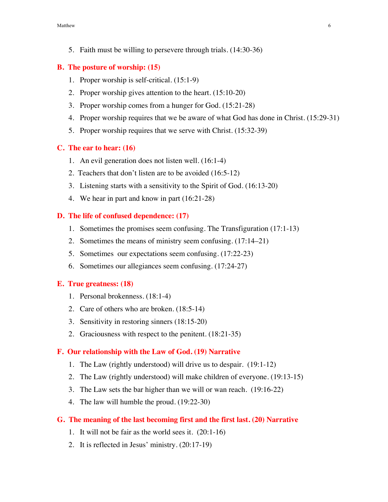5. Faith must be willing to persevere through trials. (14:30-36)

## **B. The posture of worship: (15)**

- 1. Proper worship is self-critical. (15:1-9)
- 2. Proper worship gives attention to the heart. (15:10-20)
- 3. Proper worship comes from a hunger for God. (15:21-28)
- 4. Proper worship requires that we be aware of what God has done in Christ. (15:29-31)
- 5. Proper worship requires that we serve with Christ. (15:32-39)

#### **C. The ear to hear: (16)**

- 1. An evil generation does not listen well. (16:1-4)
- 2. Teachers that don't listen are to be avoided (16:5-12)
- 3. Listening starts with a sensitivity to the Spirit of God. (16:13-20)
- 4. We hear in part and know in part (16:21-28)

## **D. The life of confused dependence: (17)**

- 1. Sometimes the promises seem confusing. The Transfiguration (17:1-13)
- 2. Sometimes the means of ministry seem confusing. (17:14–21)
- 5. Sometimes our expectations seem confusing. (17:22-23)
- 6. Sometimes our allegiances seem confusing. (17:24-27)

#### **E. True greatness: (18)**

- 1. Personal brokenness. (18:1-4)
- 2. Care of others who are broken. (18:5-14)
- 3. Sensitivity in restoring sinners (18:15-20)
- 2. Graciousness with respect to the penitent. (18:21-35)

#### **F. Our relationship with the Law of God. (19) Narrative**

- 1. The Law (rightly understood) will drive us to despair. (19:1-12)
- 2. The Law (rightly understood) will make children of everyone. (19:13-15)
- 3. The Law sets the bar higher than we will or wan reach. (19:16-22)
- 4. The law will humble the proud. (19:22-30)

## **G. The meaning of the last becoming first and the first last. (20) Narrative**

- 1. It will not be fair as the world sees it. (20:1-16)
- 2. It is reflected in Jesus' ministry. (20:17-19)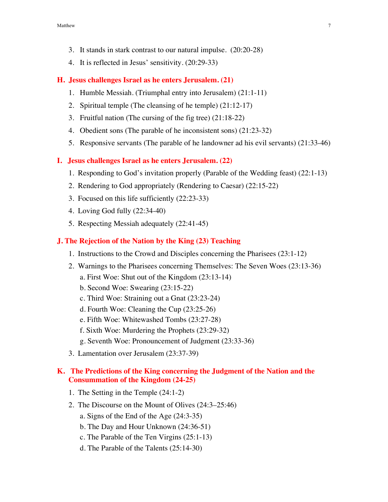- 3. It stands in stark contrast to our natural impulse. (20:20-28)
- 4. It is reflected in Jesus' sensitivity. (20:29-33)

## **H. Jesus challenges Israel as he enters Jerusalem. (21)**

- 1. Humble Messiah. (Triumphal entry into Jerusalem) (21:1-11)
- 2. Spiritual temple (The cleansing of he temple) (21:12-17)
- 3. Fruitful nation (The cursing of the fig tree) (21:18-22)
- 4. Obedient sons (The parable of he inconsistent sons) (21:23-32)
- 5. Responsive servants (The parable of he landowner ad his evil servants) (21:33-46)

#### **I. Jesus challenges Israel as he enters Jerusalem. (22)**

- 1. Responding to God's invitation properly (Parable of the Wedding feast) (22:1-13)
- 2. Rendering to God appropriately (Rendering to Caesar) (22:15-22)
- 3. Focused on this life sufficiently (22:23-33)
- 4. Loving God fully (22:34-40)
- 5. Respecting Messiah adequately (22:41-45)

## **J. The Rejection of the Nation by the King (23) Teaching**

- 1. Instructions to the Crowd and Disciples concerning the Pharisees (23:1-12)
- 2. Warnings to the Pharisees concerning Themselves: The Seven Woes (23:13-36)
	- a. First Woe: Shut out of the Kingdom (23:13-14)
	- b. Second Woe: Swearing (23:15-22)
	- c. Third Woe: Straining out a Gnat (23:23-24)
	- d. Fourth Woe: Cleaning the Cup (23:25-26)
	- e. Fifth Woe: Whitewashed Tombs (23:27-28)
	- f. Sixth Woe: Murdering the Prophets (23:29-32)
	- g. Seventh Woe: Pronouncement of Judgment (23:33-36)
- 3. Lamentation over Jerusalem (23:37-39)

## **K. The Predictions of the King concerning the Judgment of the Nation and the Consummation of the Kingdom (24-25)**

- 1. The Setting in the Temple (24:1-2)
- 2. The Discourse on the Mount of Olives (24:3–25:46)
	- a. Signs of the End of the Age (24:3-35)
	- b. The Day and Hour Unknown (24:36-51)
	- c. The Parable of the Ten Virgins (25:1-13)
	- d. The Parable of the Talents (25:14-30)